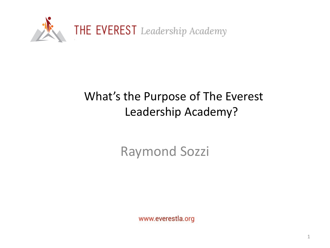

# What's the Purpose of The Everest Leadership Academy?

Raymond Sozzi

www.everestla.org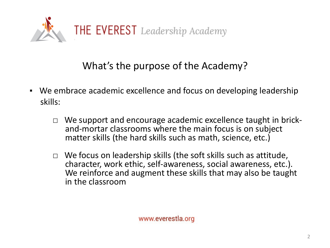

### What's the purpose of the Academy?

- We embrace academic excellence and focus on developing leadership skills:
	- □ We support and encourage academic excellence taught in brick- and-mortar classrooms where the main focus is on subject matter skills (the hard skills such as math, science, etc.)
	- $\Box$  We focus on leadership skills (the soft skills such as attitude, character, work ethic, self-awareness, social awareness, etc.). We reinforce and augment these skills that may also be taught in the classroom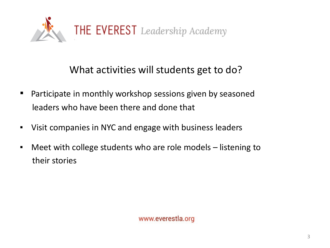

#### What activities will students get to do?

- Participate in monthly workshop sessions given by seasoned leaders who have been there and done that
- Visit companies in NYC and engage with business leaders
- Meet with college students who are role models listening to their stories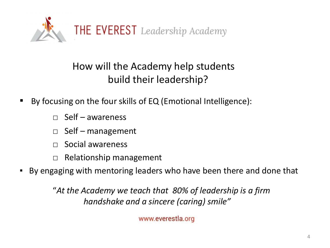

## How will the Academy help students build their leadership?

- By focusing on the four skills of EQ (Emotional Intelligence):
	- $\Box$  Self awareness
	- $\Box$  Self management
	- □ Social awareness
	- □ Relationship management
- By engaging with mentoring leaders who have been there and done that

"*At the Academy we teach that 80% of leadership is a firm handshake and a sincere (caring) smile"*

www.everestla.org